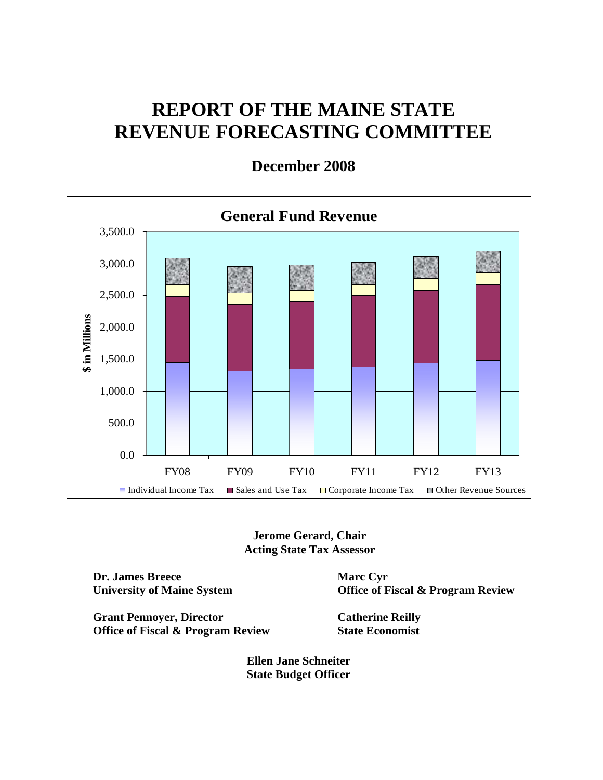# **REPORT OF THE MAINE STATE REVENUE FORECASTING COMMITTEE**

**General Fund Revenue** 3,500.0 3,000.0 2,500.0 \$ in Millions **\$ in Millions** 2,000.0 1,500.0 1,000.0 500.0 0.0 FY08 FY09 FY10 FY11 FY12 FY13  $\Box$  Individual Income Tax  $\Box$  Sales and Use Tax  $\Box$  Corporate Income Tax  $\Box$  Other Revenue Sources

**December 2008** 

**Jerome Gerard, Chair Acting State Tax Assessor** 

**Dr. James Breece University of Maine System**  **Marc Cyr Office of Fiscal & Program Review** 

**Grant Pennoyer, Director Office of Fiscal & Program Review**  **Catherine Reilly State Economist** 

**Ellen Jane Schneiter State Budget Officer**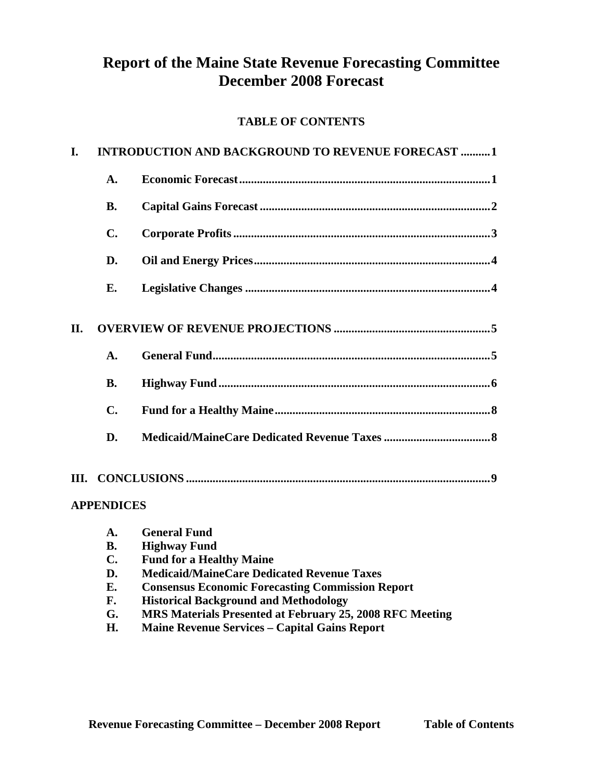# **Report of the Maine State Revenue Forecasting Committee December 2008 Forecast**

# **TABLE OF CONTENTS**

| I.  | <b>INTRODUCTION AND BACKGROUND TO REVENUE FORECAST 1</b> |  |  |  |  |  |
|-----|----------------------------------------------------------|--|--|--|--|--|
|     | A.                                                       |  |  |  |  |  |
|     | <b>B.</b>                                                |  |  |  |  |  |
|     | $C_{\bullet}$                                            |  |  |  |  |  |
|     | D.                                                       |  |  |  |  |  |
|     | Е.                                                       |  |  |  |  |  |
| II. | A.                                                       |  |  |  |  |  |
|     | <b>B.</b>                                                |  |  |  |  |  |
|     | $\mathbf{C}$ .                                           |  |  |  |  |  |
|     | D.                                                       |  |  |  |  |  |
|     | <b>APPENDICES</b>                                        |  |  |  |  |  |
|     |                                                          |  |  |  |  |  |

| A.             | <b>General Fund</b>                                      |
|----------------|----------------------------------------------------------|
| <b>B.</b>      | <b>Highway Fund</b>                                      |
| $\mathbf{C}$ . | <b>Fund for a Healthy Maine</b>                          |
| D.             | <b>Medicaid/MaineCare Dedicated Revenue Taxes</b>        |
| Е.             | <b>Consensus Economic Forecasting Commission Report</b>  |
| F.             | <b>Historical Background and Methodology</b>             |
| G.             | MRS Materials Presented at February 25, 2008 RFC Meeting |
| H.             | <b>Maine Revenue Services – Capital Gains Report</b>     |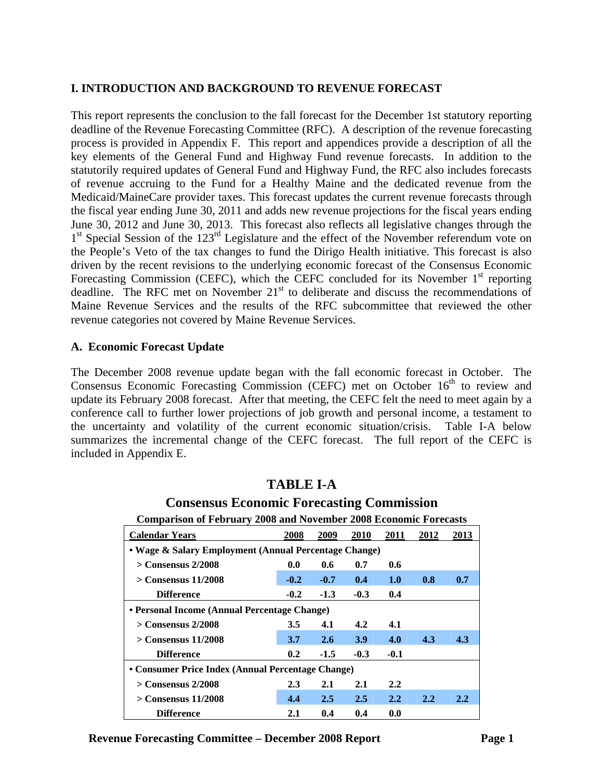#### **I. INTRODUCTION AND BACKGROUND TO REVENUE FORECAST**

This report represents the conclusion to the fall forecast for the December 1st statutory reporting deadline of the Revenue Forecasting Committee (RFC). A description of the revenue forecasting process is provided in Appendix F. This report and appendices provide a description of all the key elements of the General Fund and Highway Fund revenue forecasts. In addition to the statutorily required updates of General Fund and Highway Fund, the RFC also includes forecasts of revenue accruing to the Fund for a Healthy Maine and the dedicated revenue from the Medicaid/MaineCare provider taxes. This forecast updates the current revenue forecasts through the fiscal year ending June 30, 2011 and adds new revenue projections for the fiscal years ending June 30, 2012 and June 30, 2013. This forecast also reflects all legislative changes through the 1<sup>st</sup> Special Session of the 123<sup>rd</sup> Legislature and the effect of the November referendum vote on the People's Veto of the tax changes to fund the Dirigo Health initiative. This forecast is also driven by the recent revisions to the underlying economic forecast of the Consensus Economic Forecasting Commission (CEFC), which the CEFC concluded for its November  $1<sup>st</sup>$  reporting deadline. The RFC met on November  $21<sup>st</sup>$  to deliberate and discuss the recommendations of Maine Revenue Services and the results of the RFC subcommittee that reviewed the other revenue categories not covered by Maine Revenue Services.

### **A. Economic Forecast Update**

The December 2008 revenue update began with the fall economic forecast in October. The Consensus Economic Forecasting Commission (CEFC) met on October 16<sup>th</sup> to review and update its February 2008 forecast. After that meeting, the CEFC felt the need to meet again by a conference call to further lower projections of job growth and personal income, a testament to the uncertainty and volatility of the current economic situation/crisis. Table I-A below summarizes the incremental change of the CEFC forecast. The full report of the CEFC is included in Appendix E.

# **TABLE I-A**

# **Consensus Economic Forecasting Commission**

|  |  | <b>Comparison of February 2008 and November 2008 Economic Forecasts</b> |
|--|--|-------------------------------------------------------------------------|
|--|--|-------------------------------------------------------------------------|

| <b>Calendar Years</b>                                 | 2008   | 2009          | <b>2010</b> | 2011   | 2012 | 2013 |  |  |  |
|-------------------------------------------------------|--------|---------------|-------------|--------|------|------|--|--|--|
| • Wage & Salary Employment (Annual Percentage Change) |        |               |             |        |      |      |  |  |  |
| $>$ Consensus 2/2008                                  | 0.0    | 0.6           | 0.7         | 0.6    |      |      |  |  |  |
| $>$ Consensus 11/2008                                 | $-0.2$ | $-0.7$        | 0.4         | 1.0    | 0.8  | 0.7  |  |  |  |
| <b>Difference</b>                                     | $-0.2$ | $-1.3$        | $-0.3$      | 0.4    |      |      |  |  |  |
| • Personal Income (Annual Percentage Change)          |        |               |             |        |      |      |  |  |  |
| $>$ Consensus 2/2008                                  | 3.5    | 4.1           | 4.2         | 4.1    |      |      |  |  |  |
| $>$ Consensus 11/2008                                 | 3.7    | $2.6^{\circ}$ | <b>3.9</b>  | 4.0    | 4.3  | 4.3  |  |  |  |
| <b>Difference</b>                                     | 0.2    | $-1.5$        | $-0.3$      | $-0.1$ |      |      |  |  |  |
| • Consumer Price Index (Annual Percentage Change)     |        |               |             |        |      |      |  |  |  |
| $>$ Consensus 2/2008                                  | 2.3    | 2.1           | 2.1         | 2.2    |      |      |  |  |  |
| $>$ Consensus 11/2008                                 | 4.4    | 2.5           | 2.5         | 2.2    | 2.2  | 2.2  |  |  |  |
| <b>Difference</b>                                     | 2.1    | 0.4           | 0.4         | 0.0    |      |      |  |  |  |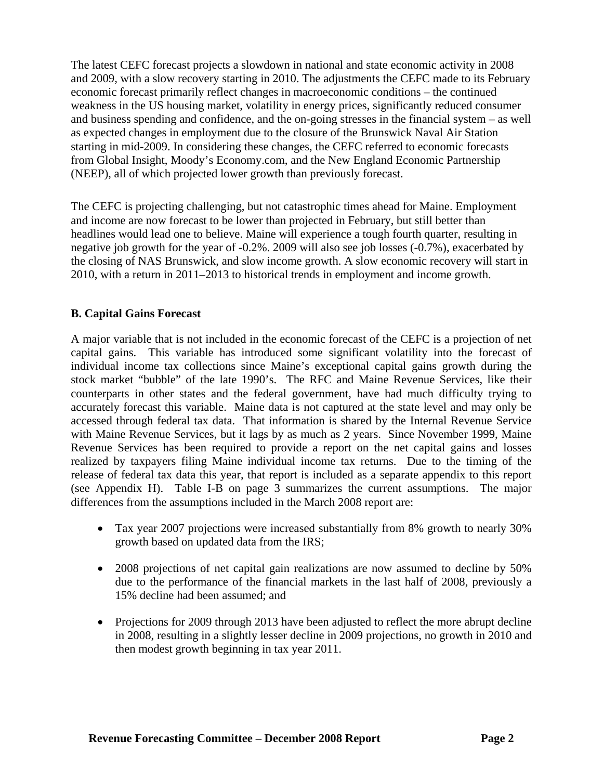The latest CEFC forecast projects a slowdown in national and state economic activity in 2008 and 2009, with a slow recovery starting in 2010. The adjustments the CEFC made to its February economic forecast primarily reflect changes in macroeconomic conditions – the continued weakness in the US housing market, volatility in energy prices, significantly reduced consumer and business spending and confidence, and the on-going stresses in the financial system – as well as expected changes in employment due to the closure of the Brunswick Naval Air Station starting in mid-2009. In considering these changes, the CEFC referred to economic forecasts from Global Insight, Moody's Economy.com, and the New England Economic Partnership (NEEP), all of which projected lower growth than previously forecast.

The CEFC is projecting challenging, but not catastrophic times ahead for Maine. Employment and income are now forecast to be lower than projected in February, but still better than headlines would lead one to believe. Maine will experience a tough fourth quarter, resulting in negative job growth for the year of -0.2%. 2009 will also see job losses (-0.7%), exacerbated by the closing of NAS Brunswick, and slow income growth. A slow economic recovery will start in 2010, with a return in 2011–2013 to historical trends in employment and income growth.

#### **B. Capital Gains Forecast**

A major variable that is not included in the economic forecast of the CEFC is a projection of net capital gains. This variable has introduced some significant volatility into the forecast of individual income tax collections since Maine's exceptional capital gains growth during the stock market "bubble" of the late 1990's. The RFC and Maine Revenue Services, like their counterparts in other states and the federal government, have had much difficulty trying to accurately forecast this variable. Maine data is not captured at the state level and may only be accessed through federal tax data. That information is shared by the Internal Revenue Service with Maine Revenue Services, but it lags by as much as 2 years. Since November 1999, Maine Revenue Services has been required to provide a report on the net capital gains and losses realized by taxpayers filing Maine individual income tax returns. Due to the timing of the release of federal tax data this year, that report is included as a separate appendix to this report (see Appendix H). Table I-B on page 3 summarizes the current assumptions. The major differences from the assumptions included in the March 2008 report are:

- Tax year 2007 projections were increased substantially from 8% growth to nearly 30% growth based on updated data from the IRS;
- 2008 projections of net capital gain realizations are now assumed to decline by 50% due to the performance of the financial markets in the last half of 2008, previously a 15% decline had been assumed; and
- Projections for 2009 through 2013 have been adjusted to reflect the more abrupt decline in 2008, resulting in a slightly lesser decline in 2009 projections, no growth in 2010 and then modest growth beginning in tax year 2011.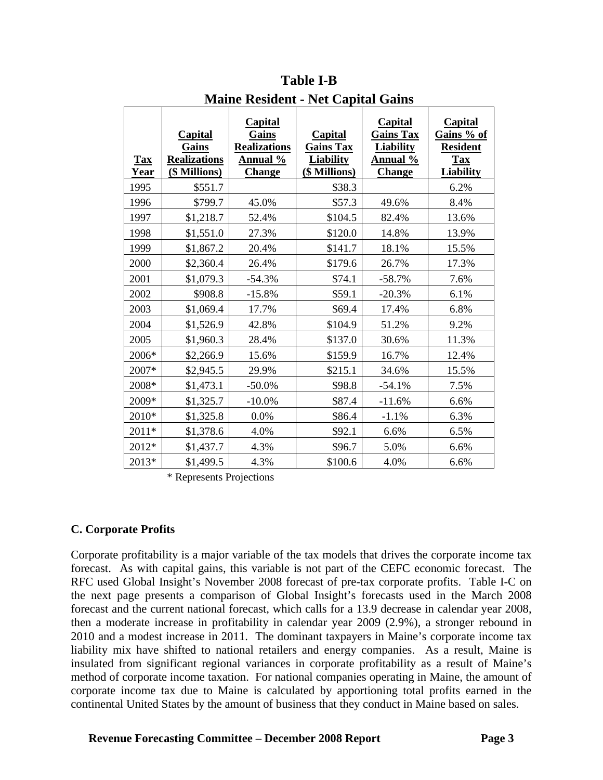| <b>Tax</b><br>Year | <b>Capital</b><br>Gains<br><b>Realizations</b><br>(\$ Millions) | <b>Capital</b><br>Gains<br><b>Realizations</b><br><u>Annual %</u><br><b>Change</b> | <b>Capital</b><br><b>Gains Tax</b><br><b>Liability</b><br>(\$ Millions) | <b>Capital</b><br><b>Gains Tax</b><br><b>Liability</b><br><u>Annual %</u><br><b>Change</b> | <b>Capital</b><br>Gains % of<br><b>Resident</b><br><b>Tax</b><br><b>Liability</b> |
|--------------------|-----------------------------------------------------------------|------------------------------------------------------------------------------------|-------------------------------------------------------------------------|--------------------------------------------------------------------------------------------|-----------------------------------------------------------------------------------|
| 1995               | \$551.7                                                         |                                                                                    | \$38.3                                                                  |                                                                                            | 6.2%                                                                              |
| 1996               | \$799.7                                                         | 45.0%                                                                              | \$57.3                                                                  | 49.6%                                                                                      | 8.4%                                                                              |
| 1997               | \$1,218.7                                                       | 52.4%                                                                              | \$104.5                                                                 | 82.4%                                                                                      | 13.6%                                                                             |
| 1998               | \$1,551.0                                                       | 27.3%                                                                              | \$120.0                                                                 | 14.8%                                                                                      | 13.9%                                                                             |
| 1999               | \$1,867.2                                                       | 20.4%                                                                              | \$141.7                                                                 | 18.1%                                                                                      | 15.5%                                                                             |
| 2000               | \$2,360.4                                                       | 26.4%                                                                              | \$179.6                                                                 | 26.7%                                                                                      | 17.3%                                                                             |
| 2001               | \$1,079.3                                                       | $-54.3%$                                                                           | \$74.1                                                                  | $-58.7%$                                                                                   | 7.6%                                                                              |
| 2002               | \$908.8                                                         | $-15.8%$                                                                           | \$59.1                                                                  | $-20.3%$                                                                                   | 6.1%                                                                              |
| 2003               | \$1,069.4                                                       | 17.7%                                                                              | \$69.4                                                                  | 17.4%                                                                                      | 6.8%                                                                              |
| 2004               | \$1,526.9                                                       | 42.8%                                                                              | \$104.9                                                                 | 51.2%                                                                                      | 9.2%                                                                              |
| 2005               | \$1,960.3                                                       | 28.4%                                                                              | \$137.0                                                                 | 30.6%                                                                                      | 11.3%                                                                             |
| 2006*              | \$2,266.9                                                       | 15.6%                                                                              | \$159.9                                                                 | 16.7%                                                                                      | 12.4%                                                                             |
| 2007*              | \$2,945.5                                                       | 29.9%                                                                              | \$215.1                                                                 | 34.6%                                                                                      | 15.5%                                                                             |
| 2008*              | \$1,473.1                                                       | $-50.0\%$                                                                          | \$98.8                                                                  | $-54.1%$                                                                                   | 7.5%                                                                              |
| 2009*              | \$1,325.7                                                       | $-10.0\%$                                                                          | \$87.4                                                                  | $-11.6%$                                                                                   | 6.6%                                                                              |
| $2010*$            | \$1,325.8                                                       | 0.0%                                                                               | \$86.4                                                                  | $-1.1%$                                                                                    | 6.3%                                                                              |
| 2011*              | \$1,378.6                                                       | 4.0%                                                                               | \$92.1                                                                  | 6.6%                                                                                       | 6.5%                                                                              |
| 2012*              | \$1,437.7                                                       | 4.3%                                                                               | \$96.7                                                                  | 5.0%                                                                                       | 6.6%                                                                              |
| 2013*              | \$1,499.5                                                       | 4.3%                                                                               | \$100.6                                                                 | 4.0%                                                                                       | 6.6%                                                                              |

**Table I-B Maine Resident - Net Capital Gains** 

\* Represents Projections

#### **C. Corporate Profits**

Corporate profitability is a major variable of the tax models that drives the corporate income tax forecast. As with capital gains, this variable is not part of the CEFC economic forecast. The RFC used Global Insight's November 2008 forecast of pre-tax corporate profits. Table I-C on the next page presents a comparison of Global Insight's forecasts used in the March 2008 forecast and the current national forecast, which calls for a 13.9 decrease in calendar year 2008, then a moderate increase in profitability in calendar year 2009 (2.9%), a stronger rebound in 2010 and a modest increase in 2011. The dominant taxpayers in Maine's corporate income tax liability mix have shifted to national retailers and energy companies. As a result, Maine is insulated from significant regional variances in corporate profitability as a result of Maine's method of corporate income taxation. For national companies operating in Maine, the amount of corporate income tax due to Maine is calculated by apportioning total profits earned in the continental United States by the amount of business that they conduct in Maine based on sales.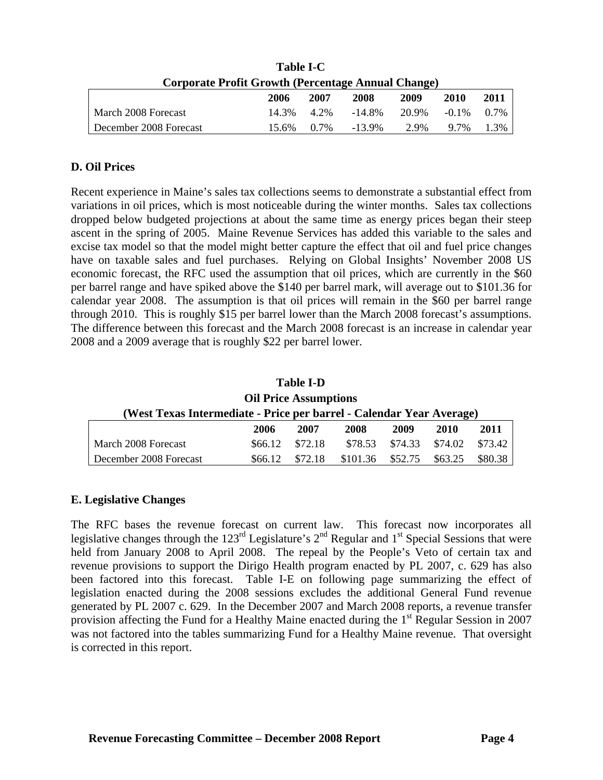| ravic 1-C                                                 |       |            |           |       |          |      |  |  |  |
|-----------------------------------------------------------|-------|------------|-----------|-------|----------|------|--|--|--|
| <b>Corporate Profit Growth (Percentage Annual Change)</b> |       |            |           |       |          |      |  |  |  |
|                                                           | 2006  | 2007       | 2008      | 2009  | 2010     | 2011 |  |  |  |
| March 2008 Forecast                                       |       | 14.3% 4.2% | $-14.8\%$ | 20.9% | $-0.1\%$ | 0.7% |  |  |  |
| December 2008 Forecast                                    | 15.6% | 0.7%       | $-13.9\%$ | 2.9%  | $97\%$   | 1.3% |  |  |  |

**Table I-C** 

#### **D. Oil Prices**

Recent experience in Maine's sales tax collections seems to demonstrate a substantial effect from variations in oil prices, which is most noticeable during the winter months. Sales tax collections dropped below budgeted projections at about the same time as energy prices began their steep ascent in the spring of 2005. Maine Revenue Services has added this variable to the sales and excise tax model so that the model might better capture the effect that oil and fuel price changes have on taxable sales and fuel purchases. Relying on Global Insights' November 2008 US economic forecast, the RFC used the assumption that oil prices, which are currently in the \$60 per barrel range and have spiked above the \$140 per barrel mark, will average out to \$101.36 for calendar year 2008. The assumption is that oil prices will remain in the \$60 per barrel range through 2010. This is roughly \$15 per barrel lower than the March 2008 forecast's assumptions. The difference between this forecast and the March 2008 forecast is an increase in calendar year 2008 and a 2009 average that is roughly \$22 per barrel lower.

| <b>Table I-D</b>                                                     |         |         |          |         |         |         |  |  |  |
|----------------------------------------------------------------------|---------|---------|----------|---------|---------|---------|--|--|--|
| <b>Oil Price Assumptions</b>                                         |         |         |          |         |         |         |  |  |  |
| (West Texas Intermediate - Price per barrel - Calendar Year Average) |         |         |          |         |         |         |  |  |  |
|                                                                      | 2006    | 2007    | 2008     | 2009    | 2010    | 2011    |  |  |  |
| March 2008 Forecast                                                  | \$66.12 | \$72.18 | \$78.53  | \$74.33 | \$74.02 | \$73.42 |  |  |  |
| December 2008 Forecast                                               | \$66.12 | \$72.18 | \$101.36 | \$52.75 | \$63.25 | \$80.38 |  |  |  |

#### **E. Legislative Changes**

The RFC bases the revenue forecast on current law. This forecast now incorporates all legislative changes through the  $123<sup>rd</sup>$  Legislature's  $2<sup>nd</sup>$  Regular and  $1<sup>st</sup>$  Special Sessions that were held from January 2008 to April 2008. The repeal by the People's Veto of certain tax and revenue provisions to support the Dirigo Health program enacted by PL 2007, c. 629 has also been factored into this forecast. Table I-E on following page summarizing the effect of legislation enacted during the 2008 sessions excludes the additional General Fund revenue generated by PL 2007 c. 629. In the December 2007 and March 2008 reports, a revenue transfer provision affecting the Fund for a Healthy Maine enacted during the 1<sup>st</sup> Regular Session in 2007 was not factored into the tables summarizing Fund for a Healthy Maine revenue. That oversight is corrected in this report.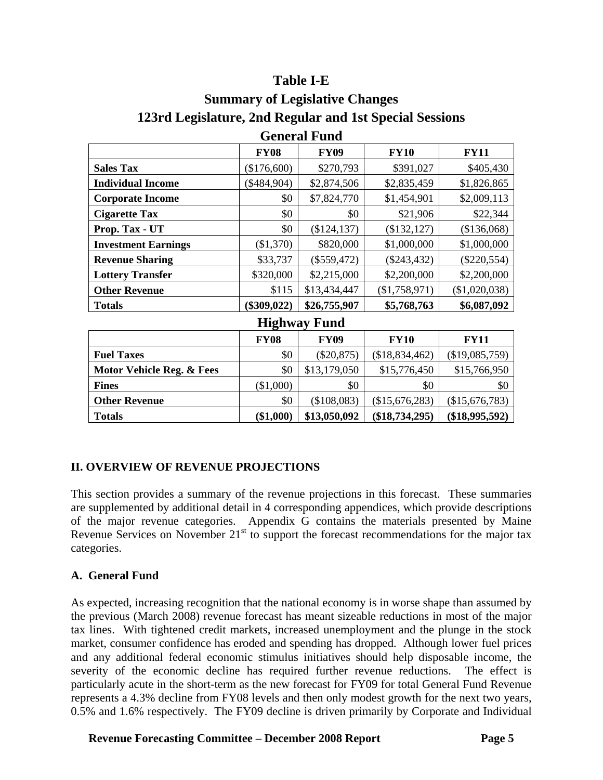# **Table I-E**

| <b>Summary of Legislative Changes</b>                   |
|---------------------------------------------------------|
| 123rd Legislature, 2nd Regular and 1st Special Sessions |
| $\Gamma$ <sub>anana</sub> l Eural                       |

| UUNLAI TUNU                          |               |                     |                  |                |  |  |  |  |
|--------------------------------------|---------------|---------------------|------------------|----------------|--|--|--|--|
|                                      | <b>FY08</b>   | <b>FY09</b>         | <b>FY10</b>      | <b>FY11</b>    |  |  |  |  |
| <b>Sales Tax</b>                     | (\$176,600)   | \$270,793           | \$391,027        | \$405,430      |  |  |  |  |
| <b>Individual Income</b>             | $(\$484,904)$ | \$2,874,506         | \$2,835,459      | \$1,826,865    |  |  |  |  |
| <b>Corporate Income</b>              | \$0           | \$7,824,770         | \$1,454,901      | \$2,009,113    |  |  |  |  |
| <b>Cigarette Tax</b>                 | \$0           | \$0                 | \$21,906         | \$22,344       |  |  |  |  |
| Prop. Tax - UT                       | \$0           | (\$124, 137)        | (\$132, 127)     | (\$136,068)    |  |  |  |  |
| <b>Investment Earnings</b>           | (\$1,370)     | \$820,000           | \$1,000,000      | \$1,000,000    |  |  |  |  |
| <b>Revenue Sharing</b>               | \$33,737      | $(\$559,472)$       | $(\$243,432)$    | $(\$220,554)$  |  |  |  |  |
| <b>Lottery Transfer</b>              | \$320,000     | \$2,215,000         | \$2,200,000      | \$2,200,000    |  |  |  |  |
| <b>Other Revenue</b>                 | \$115         | \$13,434,447        | (\$1,758,971)    | (\$1,020,038)  |  |  |  |  |
| <b>Totals</b>                        | $(\$309,022)$ | \$26,755,907        | \$5,768,763      | \$6,087,092    |  |  |  |  |
|                                      |               | <b>Highway Fund</b> |                  |                |  |  |  |  |
|                                      | <b>FY08</b>   | <b>FY09</b>         | <b>FY10</b>      | <b>FY11</b>    |  |  |  |  |
| <b>Fuel Taxes</b>                    | \$0           | $(\$20,875)$        | (\$18,834,462)   | (\$19,085,759) |  |  |  |  |
| <b>Motor Vehicle Reg. &amp; Fees</b> | \$0           | \$13,179,050        | \$15,776,450     | \$15,766,950   |  |  |  |  |
| <b>Fines</b>                         | $(\$1,000)$   | \$0                 | \$0              | \$0            |  |  |  |  |
| <b>Other Revenue</b>                 | \$0           | (\$108,083)         | (\$15,676,283)   | (\$15,676,783) |  |  |  |  |
| <b>Totals</b>                        | $(\$1,000)$   | \$13,050,092        | $(\$18,734,295)$ | (\$18,995,592) |  |  |  |  |

#### **II. OVERVIEW OF REVENUE PROJECTIONS**

This section provides a summary of the revenue projections in this forecast. These summaries are supplemented by additional detail in 4 corresponding appendices, which provide descriptions of the major revenue categories. Appendix G contains the materials presented by Maine Revenue Services on November  $21<sup>st</sup>$  to support the forecast recommendations for the major tax categories.

#### **A. General Fund**

As expected, increasing recognition that the national economy is in worse shape than assumed by the previous (March 2008) revenue forecast has meant sizeable reductions in most of the major tax lines. With tightened credit markets, increased unemployment and the plunge in the stock market, consumer confidence has eroded and spending has dropped. Although lower fuel prices and any additional federal economic stimulus initiatives should help disposable income, the severity of the economic decline has required further revenue reductions. The effect is particularly acute in the short-term as the new forecast for FY09 for total General Fund Revenue represents a 4.3% decline from FY08 levels and then only modest growth for the next two years, 0.5% and 1.6% respectively. The FY09 decline is driven primarily by Corporate and Individual

**Revenue Forecasting Committee – December 2008 Report Page 5**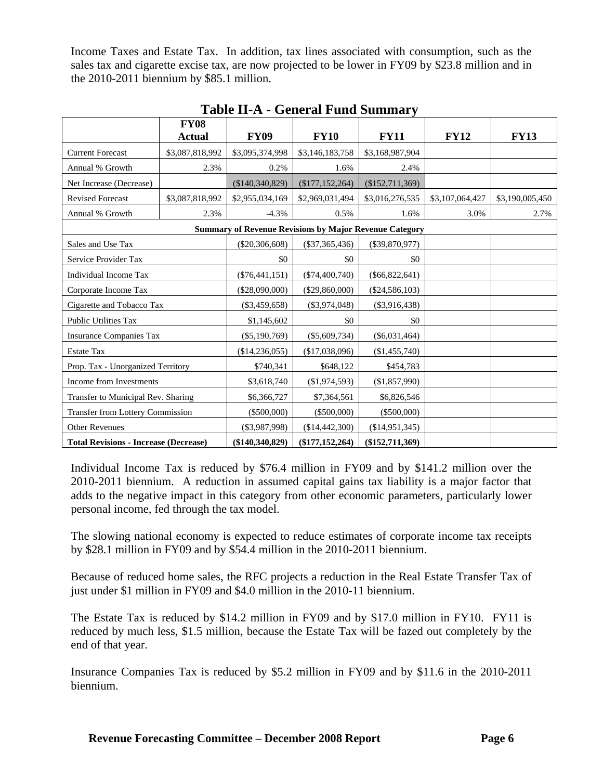Income Taxes and Estate Tax. In addition, tax lines associated with consumption, such as the sales tax and cigarette excise tax, are now projected to be lower in FY09 by \$23.8 million and in the 2010-2011 biennium by \$85.1 million.

|                                              | <b>FY08</b><br><b>Actual</b> | <b>FY09</b>      | <b>FY10</b>         | <b>FY11</b>                                                   | <b>FY12</b>     | <b>FY13</b>     |
|----------------------------------------------|------------------------------|------------------|---------------------|---------------------------------------------------------------|-----------------|-----------------|
| <b>Current Forecast</b>                      | \$3,087,818,992              | \$3,095,374,998  | \$3,146,183,758     | \$3,168,987,904                                               |                 |                 |
| Annual % Growth                              | 2.3%                         | 0.2%             | 1.6%                | 2.4%                                                          |                 |                 |
| Net Increase (Decrease)                      |                              | (\$140,340,829)  | (\$177, 152, 264)   | (\$152,711,369)                                               |                 |                 |
| <b>Revised Forecast</b>                      | \$3,087,818,992              | \$2,955,034,169  | \$2,969,031,494     | \$3,016,276,535                                               | \$3,107,064,427 | \$3,190,005,450 |
| Annual % Growth                              | 2.3%                         | $-4.3%$          | 0.5%                | 1.6%                                                          | 3.0%            | 2.7%            |
|                                              |                              |                  |                     | <b>Summary of Revenue Revisions by Major Revenue Category</b> |                 |                 |
| Sales and Use Tax                            |                              | $(\$20,306,608)$ | $(\$37,365,436)$    | $(\$39,870,977)$                                              |                 |                 |
| Service Provider Tax                         |                              | \$0              | \$0                 | \$0                                                           |                 |                 |
| Individual Income Tax                        |                              | $(\$76,441,151)$ | $(\$74,400,740)$    | $(\$66,822,641)$                                              |                 |                 |
| Corporate Income Tax                         |                              | $(\$28,090,000)$ | $(\$29,860,000)$    | $(\$24,586,103)$                                              |                 |                 |
| Cigarette and Tobacco Tax                    |                              | $(\$3,459,658)$  | $(\$3,974,048)$     | $(\$3,916,438)$                                               |                 |                 |
| <b>Public Utilities Tax</b>                  |                              | \$1,145,602      | \$0                 | \$0                                                           |                 |                 |
| <b>Insurance Companies Tax</b>               |                              | $(\$5,190,769)$  | $(\$5,609,734)$     | $(\$6,031,464)$                                               |                 |                 |
| <b>Estate Tax</b>                            |                              | (\$14,236,055)   | (\$17,038,096)      | (\$1,455,740)                                                 |                 |                 |
| Prop. Tax - Unorganized Territory            |                              | \$740,341        | \$648,122           | \$454,783                                                     |                 |                 |
| Income from Investments                      |                              | \$3,618,740      | (\$1,974,593)       | (\$1,857,990)                                                 |                 |                 |
| Transfer to Municipal Rev. Sharing           |                              | \$6,366,727      | \$7,364,561         | \$6,826,546                                                   |                 |                 |
| <b>Transfer from Lottery Commission</b>      |                              | $(\$500,000)$    | (\$500,000)         | (\$500,000)                                                   |                 |                 |
| <b>Other Revenues</b>                        |                              | $(\$3,987,998)$  | (\$14,442,300)      | (\$14,951,345)                                                |                 |                 |
| <b>Total Revisions - Increase (Decrease)</b> |                              | (\$140,340,829)  | $(\$177, 152, 264)$ | $(\$152,711,369)$                                             |                 |                 |

**Table II-A - General Fund Summary** 

Individual Income Tax is reduced by \$76.4 million in FY09 and by \$141.2 million over the 2010-2011 biennium. A reduction in assumed capital gains tax liability is a major factor that adds to the negative impact in this category from other economic parameters, particularly lower personal income, fed through the tax model.

The slowing national economy is expected to reduce estimates of corporate income tax receipts by \$28.1 million in FY09 and by \$54.4 million in the 2010-2011 biennium.

Because of reduced home sales, the RFC projects a reduction in the Real Estate Transfer Tax of just under \$1 million in FY09 and \$4.0 million in the 2010-11 biennium.

The Estate Tax is reduced by \$14.2 million in FY09 and by \$17.0 million in FY10. FY11 is reduced by much less, \$1.5 million, because the Estate Tax will be fazed out completely by the end of that year.

Insurance Companies Tax is reduced by \$5.2 million in FY09 and by \$11.6 in the 2010-2011 biennium.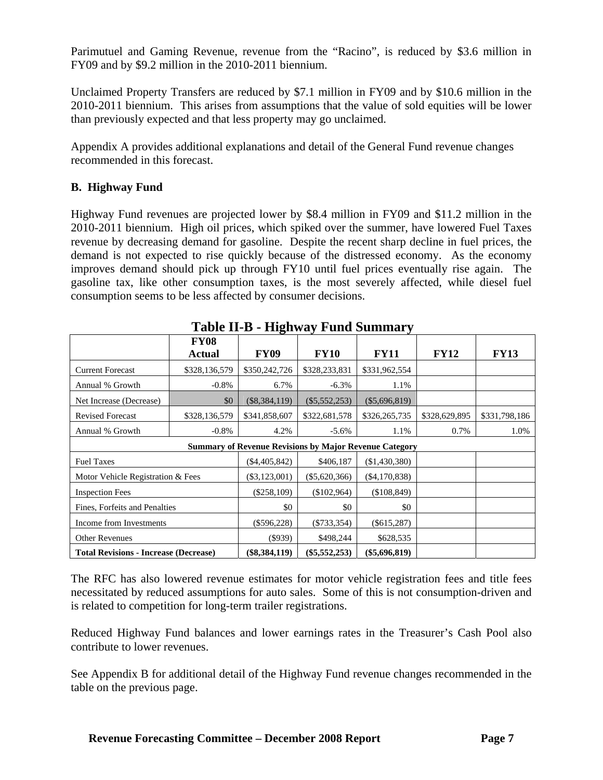Parimutuel and Gaming Revenue, revenue from the "Racino", is reduced by \$3.6 million in FY09 and by \$9.2 million in the 2010-2011 biennium.

Unclaimed Property Transfers are reduced by \$7.1 million in FY09 and by \$10.6 million in the 2010-2011 biennium. This arises from assumptions that the value of sold equities will be lower than previously expected and that less property may go unclaimed.

Appendix A provides additional explanations and detail of the General Fund revenue changes recommended in this forecast.

#### **B. Highway Fund**

Highway Fund revenues are projected lower by \$8.4 million in FY09 and \$11.2 million in the 2010-2011 biennium. High oil prices, which spiked over the summer, have lowered Fuel Taxes revenue by decreasing demand for gasoline. Despite the recent sharp decline in fuel prices, the demand is not expected to rise quickly because of the distressed economy. As the economy improves demand should pick up through FY10 until fuel prices eventually rise again. The gasoline tax, like other consumption taxes, is the most severely affected, while diesel fuel consumption seems to be less affected by consumer decisions.

|                                              | Table II D Thighway I and Dummary |                 |                 |                                                               |               |               |  |  |  |  |
|----------------------------------------------|-----------------------------------|-----------------|-----------------|---------------------------------------------------------------|---------------|---------------|--|--|--|--|
|                                              | <b>FY08</b><br><b>Actual</b>      | <b>FY09</b>     | <b>FY10</b>     | <b>FY11</b>                                                   | <b>FY12</b>   | <b>FY13</b>   |  |  |  |  |
| <b>Current Forecast</b>                      | \$328,136,579                     | \$350,242,726   | \$328,233,831   | \$331,962,554                                                 |               |               |  |  |  |  |
| Annual % Growth                              | $-0.8\%$                          | 6.7%            | $-6.3\%$        | 1.1%                                                          |               |               |  |  |  |  |
| Net Increase (Decrease)                      | \$0                               | $(\$8,384,119)$ | $(\$5,552,253)$ | $(\$5,696,819)$                                               |               |               |  |  |  |  |
| <b>Revised Forecast</b>                      | \$328,136,579                     | \$341,858,607   | \$322,681,578   | \$326,265,735                                                 | \$328,629,895 | \$331,798,186 |  |  |  |  |
| Annual % Growth                              | $-0.8\%$                          | 4.2%            | $-5.6\%$        | 1.1%                                                          | 0.7%          | 1.0%          |  |  |  |  |
|                                              |                                   |                 |                 | <b>Summary of Revenue Revisions by Major Revenue Category</b> |               |               |  |  |  |  |
| <b>Fuel Taxes</b>                            |                                   | $(\$4,405,842)$ | \$406,187       | (\$1,430,380)                                                 |               |               |  |  |  |  |
| Motor Vehicle Registration & Fees            |                                   | $(\$3,123,001)$ | $(\$5,620,366)$ | $(\$4,170,838)$                                               |               |               |  |  |  |  |
| <b>Inspection Fees</b>                       |                                   | $(\$258,109)$   | (\$102,964)     | (\$108,849)                                                   |               |               |  |  |  |  |
| Fines, Forfeits and Penalties                | \$0                               | \$0             | \$0             |                                                               |               |               |  |  |  |  |
| Income from Investments                      | $(\$596,228)$                     | $(\$733,354)$   | $(\$615,287)$   |                                                               |               |               |  |  |  |  |
| <b>Other Revenues</b>                        | $(\$939)$                         | \$498,244       | \$628,535       |                                                               |               |               |  |  |  |  |
| <b>Total Revisions - Increase (Decrease)</b> |                                   | $(\$8,384,119)$ | $(\$5,552,253)$ | $(\$5,696,819)$                                               |               |               |  |  |  |  |

**Table II-B - Highway Fund Summary** 

The RFC has also lowered revenue estimates for motor vehicle registration fees and title fees necessitated by reduced assumptions for auto sales. Some of this is not consumption-driven and is related to competition for long-term trailer registrations.

Reduced Highway Fund balances and lower earnings rates in the Treasurer's Cash Pool also contribute to lower revenues.

See Appendix B for additional detail of the Highway Fund revenue changes recommended in the table on the previous page.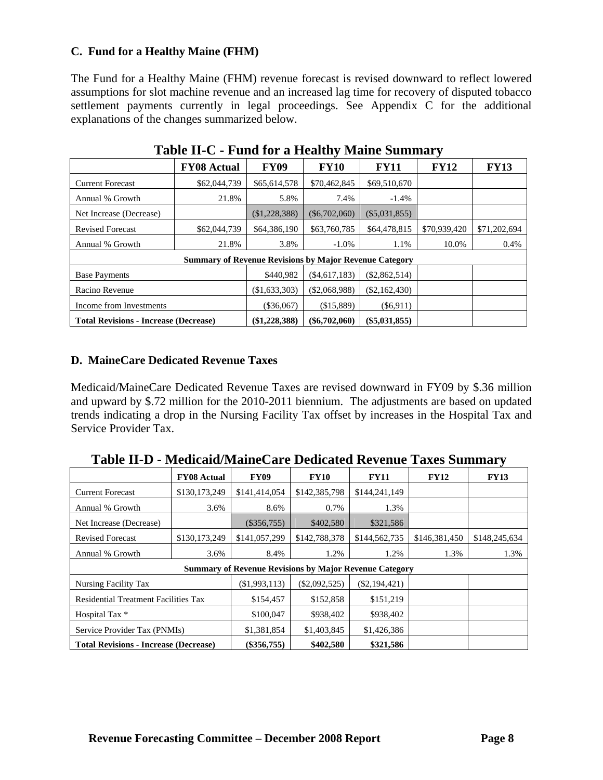#### **C. Fund for a Healthy Maine (FHM)**

The Fund for a Healthy Maine (FHM) revenue forecast is revised downward to reflect lowered assumptions for slot machine revenue and an increased lag time for recovery of disputed tobacco settlement payments currently in legal proceedings. See Appendix C for the additional explanations of the changes summarized below.

|                                              | <b>FY08 Actual</b>                                            | <b>FY09</b>     | <b>FY10</b>     | <b>FY11</b>     | <b>FY12</b>  | <b>FY13</b>  |
|----------------------------------------------|---------------------------------------------------------------|-----------------|-----------------|-----------------|--------------|--------------|
| <b>Current Forecast</b>                      | \$62,044,739                                                  | \$65,614,578    | \$70,462,845    | \$69,510,670    |              |              |
| Annual % Growth                              | 21.8%                                                         | 5.8%            | 7.4%            | $-1.4%$         |              |              |
| Net Increase (Decrease)                      |                                                               | (\$1,228,388)   | $(\$6,702,060)$ | $(\$5,031,855)$ |              |              |
| <b>Revised Forecast</b>                      | \$62,044,739                                                  | \$64,386,190    | \$63,760,785    | \$64,478,815    | \$70,939,420 | \$71,202,694 |
| Annual % Growth                              | 21.8%                                                         | 3.8%            | $-1.0\%$        | 1.1%            | 10.0%        | 0.4%         |
|                                              | <b>Summary of Revenue Revisions by Major Revenue Category</b> |                 |                 |                 |              |              |
| <b>Base Payments</b>                         |                                                               | \$440,982       | $(\$4,617,183)$ | $(\$2,862,514)$ |              |              |
| Racino Revenue                               | (\$1,633,303)                                                 | (\$2,068,988)   | $(\$2,162,430)$ |                 |              |              |
| Income from Investments                      | $(\$36,067)$                                                  | (\$15,889)      | $(\$6,911)$     |                 |              |              |
| <b>Total Revisions - Increase (Decrease)</b> | (\$1,228,388)                                                 | $(\$6,702,060)$ | $(\$5,031,855)$ |                 |              |              |

**Table II-C - Fund for a Healthy Maine Summary** 

#### **D. MaineCare Dedicated Revenue Taxes**

Medicaid/MaineCare Dedicated Revenue Taxes are revised downward in FY09 by \$.36 million and upward by \$.72 million for the 2010-2011 biennium. The adjustments are based on updated trends indicating a drop in the Nursing Facility Tax offset by increases in the Hospital Tax and Service Provider Tax.

|                                                               | <b>FY08 Actual</b> | <b>FY09</b>   | <b>FY10</b>     | <b>FY11</b>     | <b>FY12</b>   | <b>FY13</b>   |
|---------------------------------------------------------------|--------------------|---------------|-----------------|-----------------|---------------|---------------|
| <b>Current Forecast</b>                                       | \$130,173,249      | \$141,414,054 | \$142,385,798   | \$144,241,149   |               |               |
| Annual % Growth                                               | 3.6%               | 8.6%          | 0.7%            | 1.3%            |               |               |
| Net Increase (Decrease)                                       |                    | $(\$356,755)$ | \$402,580       | \$321,586       |               |               |
| <b>Revised Forecast</b>                                       | \$130,173,249      | \$141,057,299 | \$142,788,378   | \$144,562,735   | \$146,381,450 | \$148,245,634 |
| Annual % Growth                                               | 3.6%               | 8.4%          | 1.2%            | 1.2%            | 1.3%          | 1.3%          |
| <b>Summary of Revenue Revisions by Major Revenue Category</b> |                    |               |                 |                 |               |               |
| Nursing Facility Tax                                          |                    | (\$1,993,113) | $(\$2,092,525)$ | $(\$2,194,421)$ |               |               |
| <b>Residential Treatment Facilities Tax</b>                   |                    | \$154,457     | \$152,858       | \$151,219       |               |               |
| Hospital Tax *                                                |                    | \$100,047     | \$938,402       | \$938,402       |               |               |
| Service Provider Tax (PNMIs)                                  |                    | \$1,381,854   | \$1,403,845     | \$1,426,386     |               |               |
| <b>Total Revisions - Increase (Decrease)</b>                  |                    | $(\$356,755)$ | \$402,580       | \$321,586       |               |               |

**Table II-D - Medicaid/MaineCare Dedicated Revenue Taxes Summary**